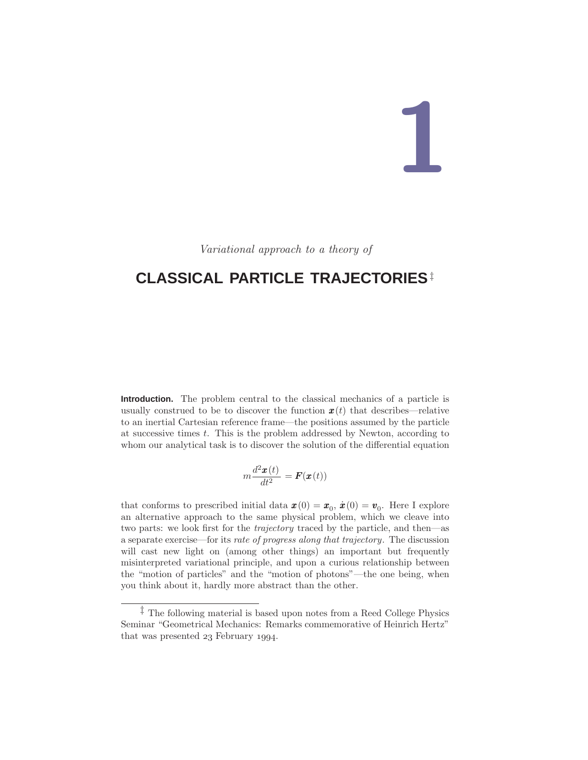# **1**

Variational approach to a theory of

# **CLASSICAL PARTICLE TRAJECTORIES**‡

**Introduction.** The problem central to the classical mechanics of a particle is usually construed to be to discover the function  $\mathbf{x}(t)$  that describes—relative to an inertial Cartesian reference frame—the positions assumed by the particle at successive times t. This is the problem addressed by Newton, according to whom our analytical task is to discover the solution of the differential equation

$$
m\frac{d^2\pmb{x}(t)}{dt^2} = \pmb{F}(\pmb{x}(t))
$$

that conforms to prescribed initial data  $\mathbf{x}(0) = \mathbf{x}_0, \dot{\mathbf{x}}(0) = \mathbf{v}_0$ . Here I explore an alternative approach to the same physical problem, which we cleave into two parts: we look first for the trajectory traced by the particle, and then—as a separate exercise—for its rate of progress along that trajectory. The discussion will cast new light on (among other things) an important but frequently misinterpreted variational principle, and upon a curious relationship between the "motion of particles" and the "motion of photons"—the one being, when you think about it, hardly more abstract than the other.

<sup>‡</sup> The following material is based upon notes from a Reed College Physics Seminar "Geometrical Mechanics: Remarks commemorative of Heinrich Hertz" that was presented  $23$  February 1994.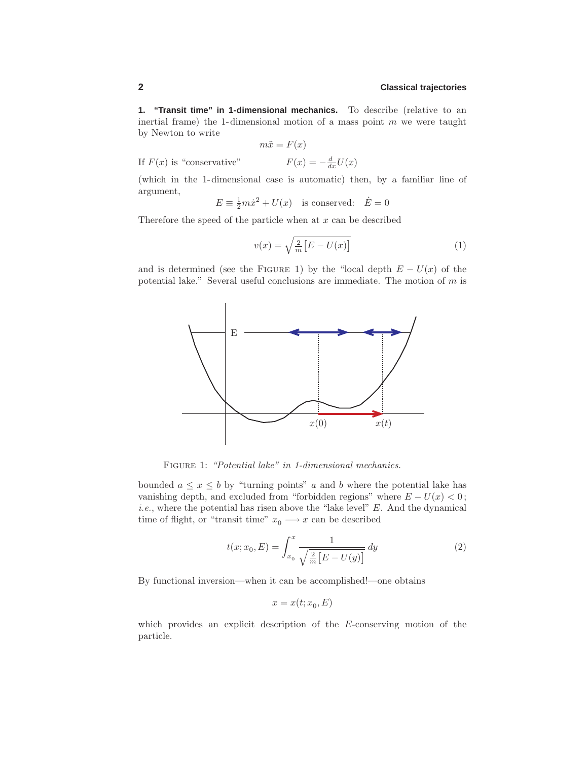**1. "Transit time" in 1-dimensional mechanics.** To describe (relative to an inertial frame) the 1-dimensional motion of a mass point  $m$  we were taught by Newton to write

$$
m\ddot{x} = F(x)
$$

If  $F(x)$  is "conservative"  $F(x) = -\frac{d}{dx}U(x)$ 

(which in the 1-dimensional case is automatic) then, by a familiar line of argument,

$$
E \equiv \frac{1}{2}m\dot{x}^2 + U(x)
$$
 is conserved:  $\dot{E} = 0$ 

Therefore the speed of the particle when at  $x$  can be described

$$
v(x) = \sqrt{\frac{2}{m} \left[ E - U(x) \right]}
$$
 (1)

and is determined (see the FIGURE 1) by the "local depth  $E - U(x)$  of the potential lake." Several useful conclusions are immediate. The motion of  $m$  is



FIGURE 1: "Potential lake" in 1-dimensional mechanics.

bounded  $a \leq x \leq b$  by "turning points" a and b where the potential lake has vanishing depth, and excluded from "forbidden regions" where  $E - U(x) < 0$ ; *i.e.*, where the potential has risen above the "lake level"  $E$ . And the dynamical time of flight, or "transit time"  $x_0 \longrightarrow x$  can be described

$$
t(x; x_0, E) = \int_{x_0}^{x} \frac{1}{\sqrt{\frac{2}{m} [E - U(y)]}} dy
$$
 (2)

By functional inversion—when it can be accomplished!—one obtains

$$
x = x(t; x_0, E)
$$

which provides an explicit description of the E-conserving motion of the particle.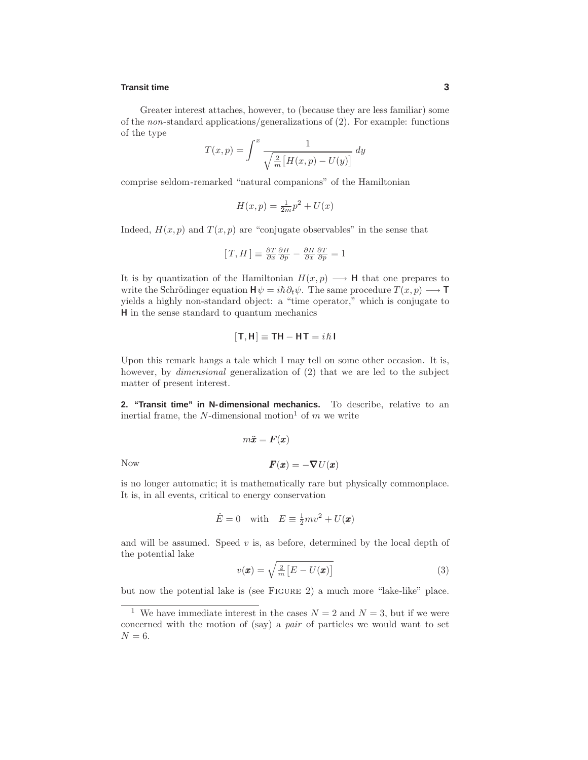### **Transit time 3**

Greater interest attaches, however, to (because they are less familiar) some of the non-standard applications/generalizations of (2). For example: functions of the type

$$
T(x,p) = \int^x \frac{1}{\sqrt{\frac{2}{m} \left[ H(x,p) - U(y) \right]}} dy
$$

comprise seldom-remarked "natural companions" of the Hamiltonian

$$
H(x,p) = \frac{1}{2m}p^2 + U(x)
$$

Indeed,  $H(x, p)$  and  $T(x, p)$  are "conjugate observables" in the sense that

$$
[T,H]\equiv \tfrac{\partial T}{\partial x} \tfrac{\partial H}{\partial p} - \tfrac{\partial H}{\partial x} \tfrac{\partial T}{\partial p} = 1
$$

It is by quantization of the Hamiltonian  $H(x, p) \longrightarrow \mathbf{H}$  that one prepares to write the Schrödinger equation  $\mathbf{H}\psi = i\hbar \partial_t \psi$ . The same procedure  $T(x, p) \longrightarrow \mathbf{T}$ yields a highly non-standard object: a "time operator," which is conjugate to **H** in the sense standard to quantum mechanics

$$
[\mathsf{T},\mathsf{H}]\equiv \mathsf{T}\mathsf{H}-\mathsf{H}\mathsf{T}=i\hbar\mathsf{I}
$$

Upon this remark hangs a tale which I may tell on some other occasion. It is, however, by *dimensional* generalization of (2) that we are led to the subject matter of present interest.

**2. "Transit time" in N-dimensional mechanics.** To describe, relative to an inertial frame, the N-dimensional motion<sup>1</sup> of m we write

Now 
$$
m\ddot{x} = F(x)
$$

$$
F(x) = -\nabla U(x)
$$

is no longer automatic; it is mathematically rare but physically commonplace. It is, in all events, critical to energy conservation

$$
\dot{E} = 0
$$
 with  $E \equiv \frac{1}{2}mv^2 + U(\mathbf{x})$ 

and will be assumed. Speed  $v$  is, as before, determined by the local depth of the potential lake

$$
v(\mathbf{x}) = \sqrt{\frac{2}{m} \left[ E - U(\mathbf{x}) \right]}
$$
 (3)

but now the potential lake is (see Figure 2) a much more "lake-like" place.

<sup>&</sup>lt;sup>1</sup> We have immediate interest in the cases  $N = 2$  and  $N = 3$ , but if we were concerned with the motion of (say) a pair of particles we would want to set  $N = 6$ .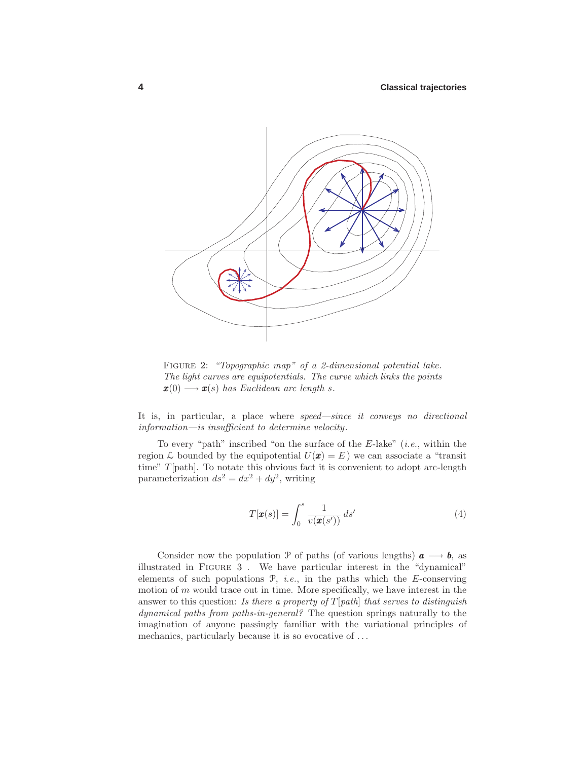

FIGURE 2: "Topographic map" of a 2-dimensional potential lake. The light curves are equipotentials. The curve which links the points  $\mathbf{x}(0) \longrightarrow \mathbf{x}(s)$  has Euclidean arc length s.

It is, in particular, a place where speed—since it conveys no directional information—is insufficient to determine velocity.

To every "path" inscribed "on the surface of the  $E$ -lake" (*i.e.*, within the region L bounded by the equipotential  $U(\mathbf{x}) = E$ ) we can associate a "transit time" T[path]. To notate this obvious fact it is convenient to adopt arc-length parameterization  $ds^2 = dx^2 + dy^2$ , writing

$$
T[\pmb{x}(s)] = \int_0^s \frac{1}{v(\pmb{x}(s'))} \, ds' \tag{4}
$$

Consider now the population P of paths (of various lengths)  $a \rightarrow b$ , as illustrated in Figure 3 . We have particular interest in the "dynamical" elements of such populations  $P$ , *i.e.*, in the paths which the E-conserving motion of  $m$  would trace out in time. More specifically, we have interest in the answer to this question: Is there a property of  $T[path]$  that serves to distinguish dynamical paths from paths-in-general? The question springs naturally to the imagination of anyone passingly familiar with the variational principles of mechanics, particularly because it is so evocative of ...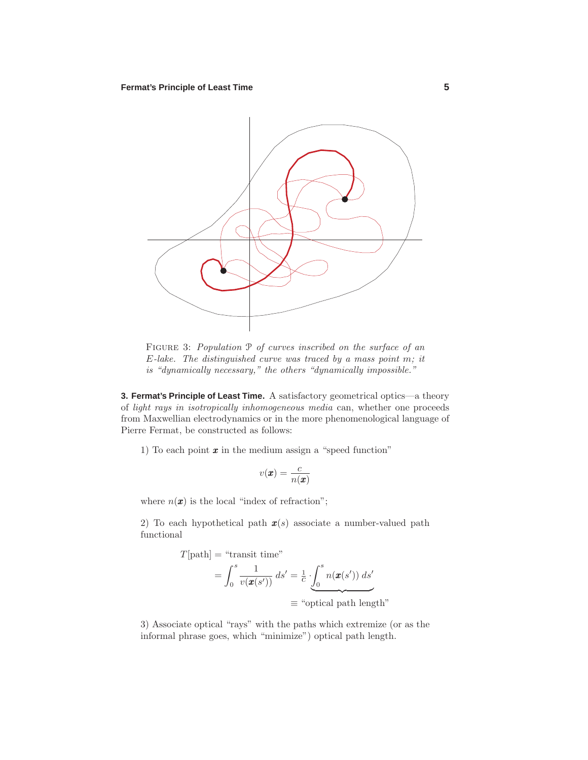

Figure 3: Population P of curves inscribed on the surface of an  $E$ -lake. The distinguished curve was traced by a mass point m; it is "dynamically necessary," the others "dynamically impossible."

**3. Fermat's Principle of Least Time.** A satisfactory geometrical optics—a theory of light rays in isotropically inhomogeneous media can, whether one proceeds from Maxwellian electrodynamics or in the more phenomenological language of Pierre Fermat, be constructed as follows:

1) To each point  $\boldsymbol{x}$  in the medium assign a "speed function"

$$
v(\pmb{x}) = \frac{c}{n(\pmb{x})}
$$

where  $n(\mathbf{x})$  is the local "index of refraction";

2) To each hypothetical path  $x(s)$  associate a number-valued path functional

$$
T[\text{path}] = \text{``transit time''}
$$
\n
$$
= \int_0^s \frac{1}{v(\pmb{x}(s'))} \, ds' = \frac{1}{c} \cdot \underbrace{\int_0^s n(\pmb{x}(s')) \, ds'}_{\equiv \text{``optical path length''}}
$$

3) Associate optical "rays" with the paths which extremize (or as the informal phrase goes, which "minimize") optical path length.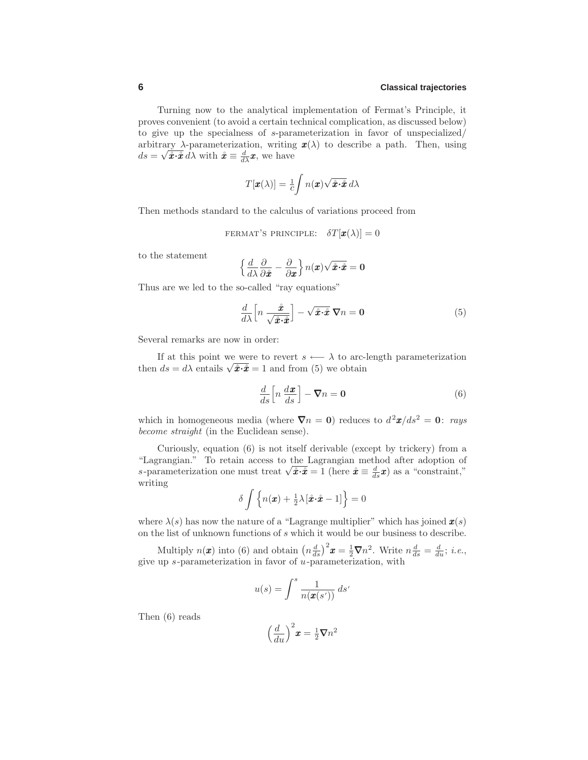Turning now to the analytical implementation of Fermat's Principle, it proves convenient (to avoid a certain technical complication, as discussed below) to give up the specialness of s-parameterization in favor of unspecialized/ arbitrary  $\lambda$ -parameterization, writing  $\mathbf{x}(\lambda)$  to describe a path. Then, using  $ds = \sqrt{\mathbf{\hat{x}} \cdot \mathbf{\hat{x}}} d\lambda$  with  $\mathbf{\hat{x}} \equiv \frac{d}{d\lambda} \mathbf{x}$ , we have

$$
T[\pmb{x}(\lambda)] = \frac{1}{c} \int n(\pmb{x}) \sqrt{\mathbf{\hat{x}} \cdot \mathbf{\hat{x}}} \, d\lambda
$$

Then methods standard to the calculus of variations proceed from

FERMAT'S PRINCIPLE:  $\delta T[\boldsymbol{x}(\lambda)] = 0$ 

to the statement

$$
\left\{\frac{d}{d\lambda}\frac{\partial}{\partial\mathring{x}}-\frac{\partial}{\partial x}\right\}n(\mathit{x})\sqrt{\mathring{x}\!\cdot\!\mathring{x}}=0
$$

Thus are we led to the so-called "ray equations"

$$
\frac{d}{d\lambda} \left[ n \frac{\dot{x}}{\sqrt{\dot{x} \cdot \dot{x}}} \right] - \sqrt{\dot{x} \cdot \dot{x}} \nabla n = 0 \tag{5}
$$

Several remarks are now in order:

If at this point we were to revert  $s \leftarrow \lambda$  to arc-length parameterization then  $ds = d\lambda$  entails  $\sqrt{\hat{x} \cdot \hat{x}} = 1$  and from (5) we obtain

$$
\frac{d}{ds} \left[ n \, \frac{d\boldsymbol{x}}{ds} \right] - \boldsymbol{\nabla} n = \mathbf{0} \tag{6}
$$

which in homogeneous media (where  $\nabla n = 0$ ) reduces to  $d^2x/ds^2 = 0$ : rays become straight (in the Euclidean sense).

Curiously, equation (6) is not itself derivable (except by trickery) from a "Lagrangian." To retain access to the Lagrangian method after adoption of s-parameterization one must treat  $\sqrt{\hat{x} \cdot \hat{x}} = 1$  (here  $\hat{x} \equiv \frac{d}{ds} x$ ) as a "constraint," writing

$$
\delta \int \left\{ n(\boldsymbol{x}) + \frac{1}{2}\lambda [\hat{\boldsymbol{x}} \cdot \hat{\boldsymbol{x}} - 1] \right\} = 0
$$

where  $\lambda(s)$  has now the nature of a "Lagrange multiplier" which has joined  $\mathbf{x}(s)$ on the list of unknown functions of s which it would be our business to describe.

Multiply  $n(\boldsymbol{x})$  into (6) and obtain  $\left(n\frac{d}{ds}\right)^2 \boldsymbol{x} = \frac{1}{2}\boldsymbol{\nabla} n^2$ . Write  $n\frac{d}{ds} = \frac{d}{du}$ ; *i.e.*, give up s-parameterization in favor of u-parameterization, with

$$
u(s) = \int^s \frac{1}{n(\mathbf{x}(s'))} ds'
$$

Then (6) reads

$$
\left(\frac{d}{du}\right)^2 \pmb{x} = \frac{1}{2} \pmb{\nabla} n^2
$$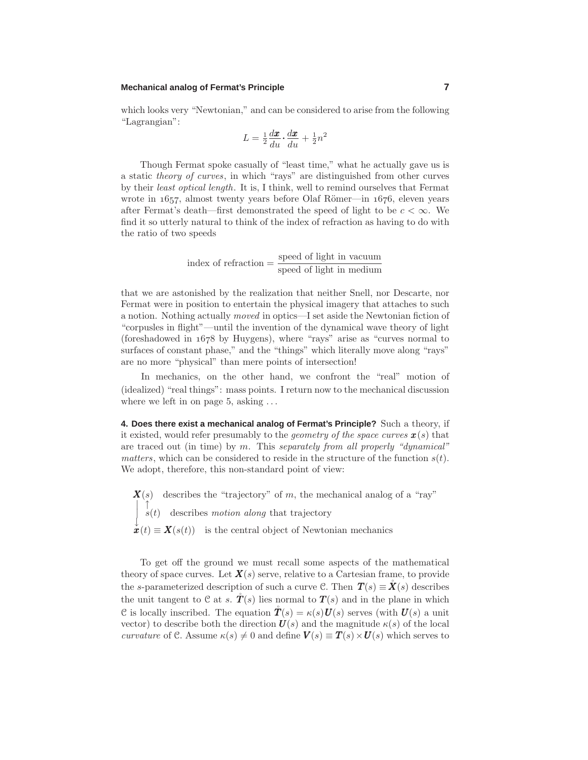# **Mechanical analog of Fermat's Principle 7**

which looks very "Newtonian," and can be considered to arise from the following "Lagrangian":

$$
L = \frac{1}{2} \frac{d\pmb{x}}{du} \cdot \frac{d\pmb{x}}{du} + \frac{1}{2} n^2
$$

Though Fermat spoke casually of "least time," what he actually gave us is a static theory of curves, in which "rays" are distinguished from other curves by their least optical length. It is, I think, well to remind ourselves that Fermat wrote in  $1657$ , almost twenty years before Olaf Römer—in  $1676$ , eleven years after Fermat's death—first demonstrated the speed of light to be  $c < \infty$ . We find it so utterly natural to think of the index of refraction as having to do with the ratio of two speeds

index of refraction 
$$
=
$$
  $\frac{\text{speed of light in vacuum}}{\text{speed of light in medium}}$ 

that we are astonished by the realization that neither Snell, nor Descarte, nor Fermat were in position to entertain the physical imagery that attaches to such a notion. Nothing actually moved in optics—I set aside the Newtonian fiction of "corpusles in flight"—until the invention of the dynamical wave theory of light (foreshadowed in  $1678$  by Huygens), where "rays" arise as "curves normal to surfaces of constant phase," and the "things" which literally move along "rays" are no more "physical" than mere points of intersection!

In mechanics, on the other hand, we confront the "real" motion of (idealized) "real things": mass points. I return now to the mechanical discussion where we left in on page 5, asking ...

**4. Does there exist a mechanical analog of Fermat's Principle?** Such a theory, if it existed, would refer presumably to the *geometry of the space curves*  $\mathbf{x}(s)$  that are traced out (in time) by  $m$ . This separately from all properly "dynamical" matters, which can be considered to reside in the structure of the function  $s(t)$ . We adopt, therefore, this non-standard point of view:

 $\mathbf{X}(s)$  describes the "trajectory" of m, the mechanical analog of a "ray"  $\begin{array}{cc} \n\cdot & \downarrow \ s(t) & \text{describes motion along that trajectory}\n\end{array}$  $\mathbf{x}^{\downarrow}(t) \equiv \mathbf{X}(s(t))$  is the central object of Newtonian mechanics

To get off the ground we must recall some aspects of the mathematical theory of space curves. Let  $\mathbf{X}(s)$  serve, relative to a Cartesian frame, to provide the s-parameterized description of such a curve C. Then  $T(s) \equiv \mathbf{\check{X}}(s)$  describes the unit tangent to C at s.  $\mathring{T}(s)$  lies normal to  $T(s)$  and in the plane in which C is locally inscribed. The equation  $\mathring{T}(s) = \kappa(s) U(s)$  serves (with  $U(s)$  a unit vector) to describe both the direction  $U(s)$  and the magnitude  $\kappa(s)$  of the local curvature of C. Assume  $\kappa(s) \neq 0$  and define  $V(s) \equiv T(s) \times U(s)$  which serves to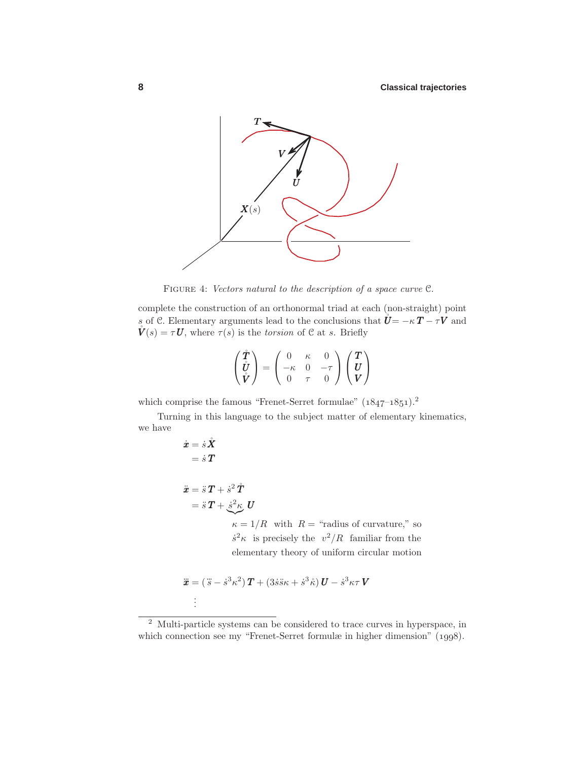

FIGURE 4: Vectors natural to the description of a space curve  $\mathfrak{C}$ .

complete the construction of an orthonormal triad at each (non-straight) point s of C. Elementary arguments lead to the conclusions that  $\hat{\mathbf{U}} = -\kappa \mathbf{T} - \tau \mathbf{V}$  and  $\mathring{\bm{V}}(s) = \tau \bm{U}$ , where  $\tau(s)$  is the torsion of C at s. Briefly

$$
\begin{pmatrix} \mathring{T} \\ \mathring{U} \\ \mathring{V} \end{pmatrix} = \begin{pmatrix} 0 & \kappa & 0 \\ -\kappa & 0 & -\tau \\ 0 & \tau & 0 \end{pmatrix} \begin{pmatrix} T \\ U \\ V \end{pmatrix}
$$

which comprise the famous "Frenet-Serret formulae"  $(1847-1851).^2$ 

Turning in this language to the subject matter of elementary kinematics, we have

$$
\dot{x} = \dot{s}\,\dot{X}
$$
\n
$$
= \dot{s}\,T
$$
\n
$$
\ddot{x} = \ddot{s}\,T + \dot{s}^2\,\dot{T}
$$
\n
$$
= \ddot{s}\,T + \frac{\dot{s}^2\kappa}{\kappa} \,U
$$
\n
$$
\kappa = 1/R \text{ with } R = \text{``radius of curvature'' so}
$$
\n
$$
\dot{s}^2\kappa \text{ is precisely the } v^2/R \text{ familiar from the elementary theory of uniform circular motion}
$$

$$
\ddot{\boldsymbol{x}} = (\ddot{s} - \dot{s}^3 \kappa^2) \boldsymbol{T} + (3\dot{s}\ddot{s}\kappa + \dot{s}^3 \ddot{\kappa}) \boldsymbol{U} - \dot{s}^3 \kappa \tau \boldsymbol{V}
$$

. . .

<sup>2</sup> Multi-particle systems can be considered to trace curves in hyperspace, in which connection see my "Frenet-Serret formulæ in higher dimension" (1998).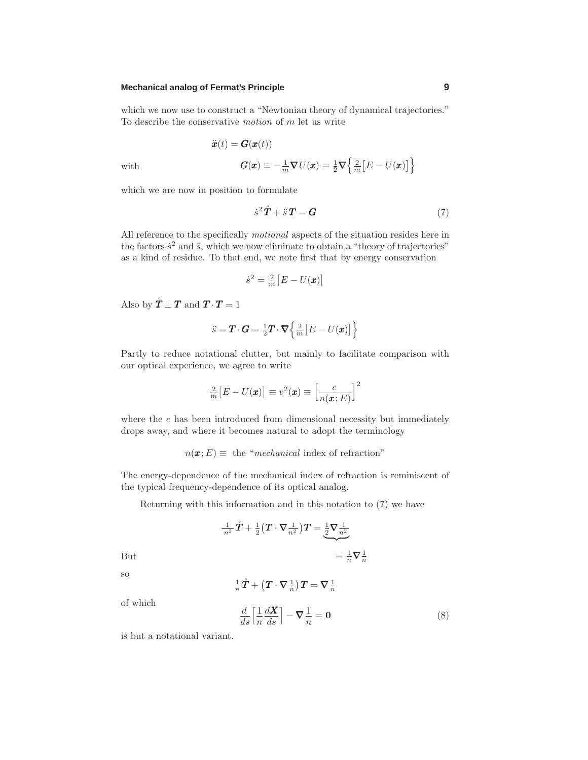# **Mechanical analog of Fermat's Principle 9**

which we now use to construct a "Newtonian theory of dynamical trajectories." To describe the conservative motion of m let us write

with  

$$
\ddot{x}(t) = G(x(t))
$$

$$
G(x) \equiv -\frac{1}{m}\nabla U(x) = \frac{1}{2}\nabla \left\{\frac{2}{m}[E - U(x)]\right\}
$$

which we are now in position to formulate

$$
\dot{s}^2 \mathbf{\mathring{T}} + \ddot{s} \mathbf{T} = \mathbf{G} \tag{7}
$$

All reference to the specifically motional aspects of the situation resides here in the factors  $\dot{s}^2$  and  $\ddot{s}$ , which we now eliminate to obtain a "theory of trajectories" as a kind of residue. To that end, we note first that by energy conservation

$$
\dot{s}^2 = \frac{2}{m} \big[ E - U(\pmb{x}) \big]
$$

Also by  $\mathbf{\dot{T}} \perp \mathbf{T}$  and  $\mathbf{T} \cdot \mathbf{T} = 1$ 

$$
\ddot{s} = \boldsymbol{T} \cdot \boldsymbol{G} = \frac{1}{2} \boldsymbol{T} \cdot \boldsymbol{\nabla} \left\{ \frac{2}{m} \left[ E - U(\boldsymbol{x}) \right] \right\}
$$

Partly to reduce notational clutter, but mainly to facilitate comparison with our optical experience, we agree to write

$$
\frac{2}{m}\big[E - U(\pmb{x})\big] \equiv v^2(\pmb{x}) \equiv \left[\frac{c}{n(\pmb{x};E)}\right]^2
$$

where the  $c$  has been introduced from dimensional necessity but immediately drops away, and where it becomes natural to adopt the terminology

 $n(\mathbf{x}; E) \equiv$  the "mechanical index of refraction"

The energy-dependence of the mechanical index of refraction is reminiscent of the typical frequency-dependence of its optical analog.

Returning with this information and in this notation to (7) we have

$$
\frac{1}{n^2}\mathring{T} + \frac{1}{2}\left(T \cdot \nabla \frac{1}{n^2}\right)T = \underbrace{\frac{1}{2}\nabla \frac{1}{n^2}}_{= \frac{1}{n}\nabla \frac{1}{n}} = \frac{1}{n}\nabla \frac{1}{n}
$$

so

$$
\tfrac{1}{n}\mathring{T} + \big(\boldsymbol{T}\cdot\boldsymbol{\nabla}\tfrac{1}{n}\big)\boldsymbol{T} = \boldsymbol{\nabla}\tfrac{1}{n}
$$

of which

$$
\frac{d}{ds} \left[ \frac{1}{n} \frac{dX}{ds} \right] - \nabla \frac{1}{n} = \mathbf{0}
$$
\n(8)

is but a notational variant.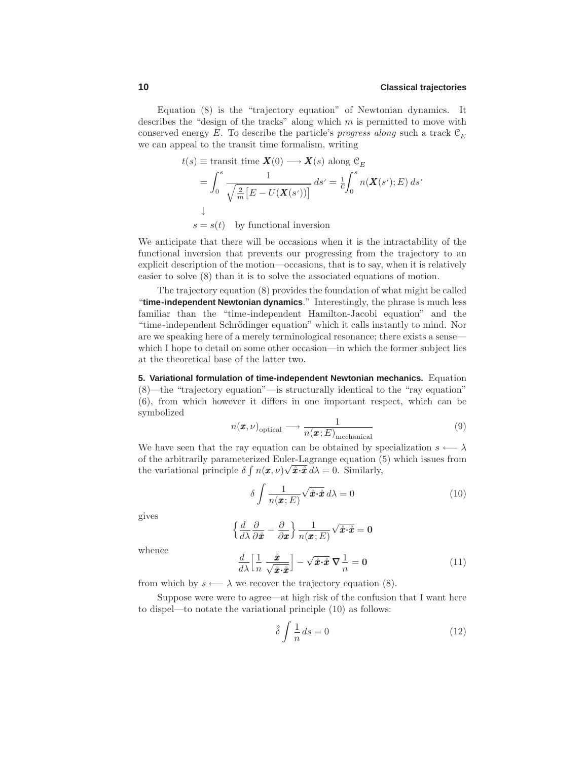Equation (8) is the "trajectory equation" of Newtonian dynamics. It describes the "design of the tracks" along which  $m$  is permitted to move with conserved energy E. To describe the particle's progress along such a track  $\mathcal{C}_F$ we can appeal to the transit time formalism, writing

$$
t(s) \equiv \text{transit time } \mathbf{X}(0) \longrightarrow \mathbf{X}(s) \text{ along } \mathcal{C}_E
$$
  
= 
$$
\int_0^s \frac{1}{\sqrt{\frac{2}{m} [E - U(\mathbf{X}(s'))]}} ds' = \frac{1}{c} \int_0^s n(\mathbf{X}(s'); E) ds'
$$
  
\$\downarrow\$  

$$
s = s(t) \text{ by functional inversion}
$$

We anticipate that there will be occasions when it is the intractability of the functional inversion that prevents our progressing from the trajectory to an explicit description of the motion—occasions, that is to say, when it is relatively easier to solve (8) than it is to solve the associated equations of motion.

The trajectory equation (8) provides the foundation of what might be called "**time-independent Newtonian dynamics**." Interestingly, the phrase is much less familiar than the "time-independent Hamilton-Jacobi equation" and the "time-independent Schrödinger equation" which it calls instantly to mind. Nor are we speaking here of a merely terminological resonance; there exists a sense which I hope to detail on some other occasion—in which the former subject lies at the theoretical base of the latter two.

**5. Variational formulation of time-independent Newtonian mechanics.** Equation (8)—the "trajectory equation"—is structurally identical to the "ray equation" (6), from which however it differs in one important respect, which can be symbolized

$$
n(\boldsymbol{x}, \nu)_{\text{optical}} \longrightarrow \frac{1}{n(\boldsymbol{x}; E)_{\text{mechanical}}}
$$
(9)

We have seen that the ray equation can be obtained by specialization  $s \leftarrow \lambda$ of the arbitrarily parameterized Euler-Lagrange equation (5) which issues from the variational principle  $\delta \int n(\boldsymbol{x}, \nu) \sqrt{\hat{\boldsymbol{x}} \cdot \hat{\boldsymbol{x}}} d\lambda = 0$ . Similarly,

$$
\delta \int \frac{1}{n(\pmb{x};E)} \sqrt{\hat{\pmb{x}} \cdot \hat{\pmb{x}}} \, d\lambda = 0 \tag{10}
$$

gives

$$
\left\{\frac{d}{d\lambda}\frac{\partial}{\partial \hat{\boldsymbol{x}}}-\frac{\partial}{\partial \boldsymbol{x}}\right\}\frac{1}{n(\boldsymbol{x};E)}\sqrt{\hat{\boldsymbol{x}}\cdot\hat{\boldsymbol{x}}}=0
$$

whence

$$
\frac{d}{d\lambda} \left[ \frac{1}{n} \frac{\dot{x}}{\sqrt{\dot{x} \cdot \dot{x}}} \right] - \sqrt{\dot{x} \cdot \dot{x}} \nabla \frac{1}{n} = 0 \tag{11}
$$

from which by  $s \leftarrow \lambda$  we recover the trajectory equation (8).

Suppose were were to agree—at high risk of the confusion that I want here to dispel—to notate the variational principle (10) as follows:

$$
\hat{\delta} \int \frac{1}{n} ds = 0 \tag{12}
$$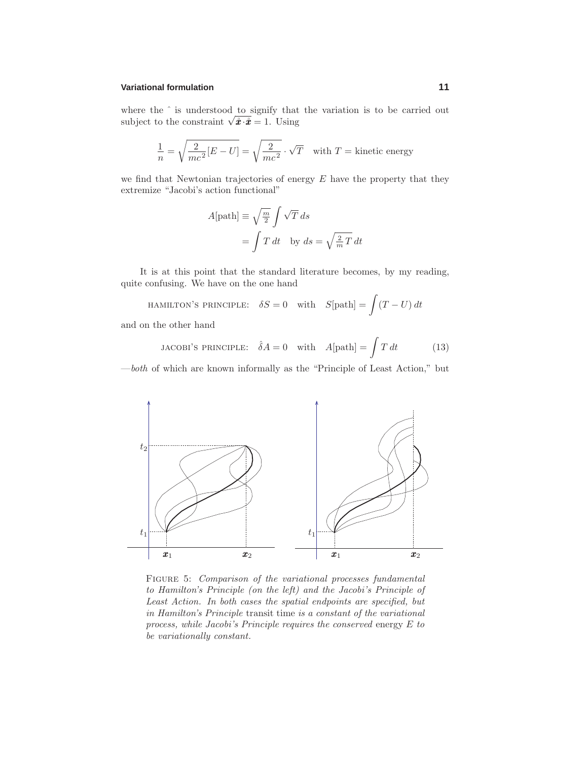### **Variational formulation 11**

where the  $\hat{ }$  is understood to signify that the variation is to be carried out subject to the constraint  $\sqrt{\hat{x} \cdot \hat{x}} = 1$ . Using

$$
\frac{1}{n} = \sqrt{\frac{2}{mc^2}[E - U]} = \sqrt{\frac{2}{mc^2}} \cdot \sqrt{T}
$$
 with  $T$  = kinetic energy

we find that Newtonian trajectories of energy  $E$  have the property that they extremize "Jacobi's action functional"

$$
A[\text{path}] \equiv \sqrt{\frac{m}{2}} \int \sqrt{T} \, ds
$$

$$
= \int T \, dt \quad \text{by } ds = \sqrt{\frac{2}{m} T} \, dt
$$

It is at this point that the standard literature becomes, by my reading, quite confusing. We have on the one hand

HAMILTON'S PRINCIPLE: 
$$
\delta S = 0
$$
 with  $S[\text{path}] = \int (T - U) dt$ 

and on the other hand

JACOBI'S PRINCIPLE: 
$$
\hat{\delta}A = 0
$$
 with  $A[\text{path}] = \int T dt$  (13)

—both of which are known informally as the "Principle of Least Action," but



FIGURE 5: Comparison of the variational processes fundamental to Hamilton's Principle (on the left) and the Jacobi's Principle of Least Action. In both cases the spatial endpoints are specified, but in Hamilton's Principle transit time is a constant of the variational process, while Jacobi's Principle requires the conserved energy E to be variationally constant.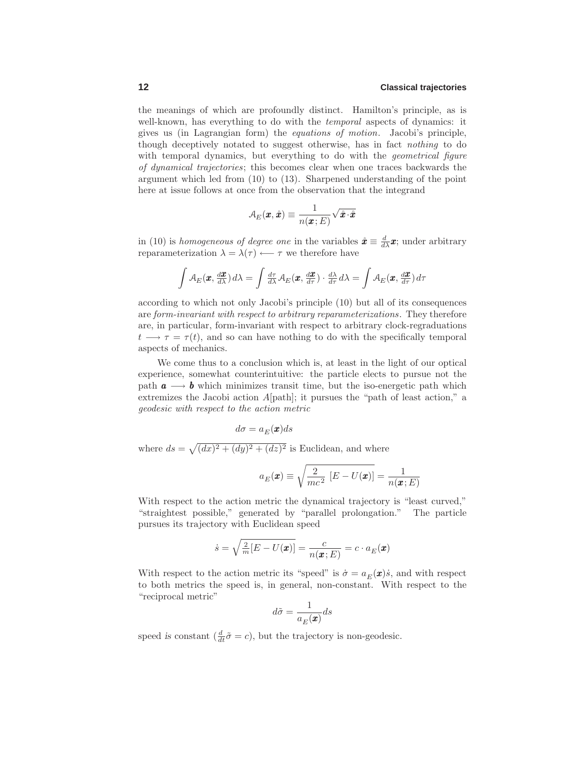the meanings of which are profoundly distinct. Hamilton's principle, as is well-known, has everything to do with the *temporal* aspects of dynamics: it gives us (in Lagrangian form) the equations of motion. Jacobi's principle, though deceptively notated to suggest otherwise, has in fact nothing to do with temporal dynamics, but everything to do with the *geometrical figure* of dynamical trajectories; this becomes clear when one traces backwards the argument which led from (10) to (13). Sharpened understanding of the point here at issue follows at once from the observation that the integrand

$$
\mathcal{A}_E(\pmb{x},\mathring{\pmb{x}}) \equiv \frac{1}{n(\pmb{x};E)} \sqrt{\mathring{\pmb{x}} \cdot \mathring{\pmb{x}}}
$$

in (10) is homogeneous of degree one in the variables  $\mathbf{\hat{z}} \equiv \frac{d}{dx}\mathbf{x}$ ; under arbitrary reparameterization  $\lambda = \lambda(\tau) \longleftarrow \tau$  we therefore have

$$
\int A_E(\mathbf{x}, \frac{d\mathbf{x}}{d\lambda}) d\lambda = \int \frac{d\tau}{d\lambda} A_E(\mathbf{x}, \frac{d\mathbf{x}}{d\tau}) \cdot \frac{d\lambda}{d\tau} d\lambda = \int A_E(\mathbf{x}, \frac{d\mathbf{x}}{d\tau}) d\tau
$$

according to which not only Jacobi's principle (10) but all of its consequences are form-invariant with respect to arbitrary reparameterizations. They therefore are, in particular, form-invariant with respect to arbitrary clock-regraduations  $t \longrightarrow \tau = \tau(t)$ , and so can have nothing to do with the specifically temporal aspects of mechanics.

We come thus to a conclusion which is, at least in the light of our optical experience, somewhat counterintuitive: the particle elects to pursue not the path  $a \longrightarrow b$  which minimizes transit time, but the iso-energetic path which extremizes the Jacobi action A[path]; it pursues the "path of least action," a geodesic with respect to the action metric

$$
d\sigma = a_E(\pmb{x})ds
$$

where  $ds = \sqrt{(dx)^2 + (dy)^2 + (dz)^2}$  is Euclidean, and where

$$
a_E(\mathbf{x}) \equiv \sqrt{\frac{2}{mc^2} [E - U(\mathbf{x})]} = \frac{1}{n(\mathbf{x}; E)}
$$

With respect to the action metric the dynamical trajectory is "least curved," "straightest possible," generated by "parallel prolongation." The particle pursues its trajectory with Euclidean speed

$$
\dot{s} = \sqrt{\frac{2}{m}[E - U(\boldsymbol{x})]} = \frac{c}{n(\boldsymbol{x}; E)} = c \cdot a_E(\boldsymbol{x})
$$

With respect to the action metric its "speed" is  $\dot{\sigma} = a_F(\mathbf{x})\dot{s}$ , and with respect to both metrics the speed is, in general, non-constant. With respect to the "reciprocal metric"

$$
d\tilde{\sigma} = \frac{1}{a_E(\pmb{x})} ds
$$

speed *is* constant  $\left(\frac{d}{dt}\tilde{\sigma} = c\right)$ , but the trajectory is non-geodesic.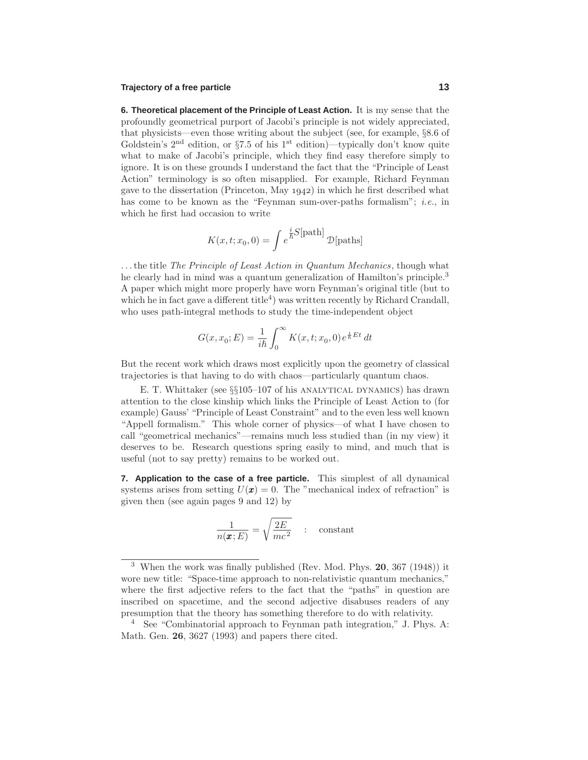### **Trajectory of a free particle 13**

**6. Theoretical placement of the Principle of Least Action.** It is my sense that the profoundly geometrical purport of Jacobi's principle is not widely appreciated, that physicists—even those writing about the subject (see, for example, §8.6 of Goldstein's  $2<sup>nd</sup>$  edition, or §7.5 of his 1<sup>st</sup> edition)—typically don't know quite what to make of Jacobi's principle, which they find easy therefore simply to ignore. It is on these grounds I understand the fact that the "Principle of Least Action" terminology is so often misapplied. For example, Richard Feynman gave to the dissertation (Princeton, May  $1942$ ) in which he first described what has come to be known as the "Feynman sum-over-paths formalism"; *i.e.*, in which he first had occasion to write

$$
K(x, t; x_0, 0) = \int e^{\frac{i}{\hbar}S[\text{path}]} \mathcal{D}[\text{paths}]
$$

...the title The Principle of Least Action in Quantum Mechanics, though what he clearly had in mind was a quantum generalization of Hamilton's principle.<sup>3</sup> A paper which might more properly have worn Feynman's original title (but to which he in fact gave a different title<sup>4</sup>) was written recently by Richard Crandall, who uses path-integral methods to study the time-independent object

$$
G(x, x_0; E) = \frac{1}{i\hbar} \int_0^\infty K(x, t; x_0, 0) e^{\frac{i}{\hbar}Et} dt
$$

But the recent work which draws most explicitly upon the geometry of classical trajectories is that having to do with chaos—particularly quantum chaos.

E. T. Whittaker (see §§105–107 of his ANALYTICAL DYNAMICS) has drawn attention to the close kinship which links the Principle of Least Action to (for example) Gauss' "Principle of Least Constraint" and to the even less well known "Appell formalism." This whole corner of physics—of what I have chosen to call "geometrical mechanics"—remains much less studied than (in my view) it deserves to be. Research questions spring easily to mind, and much that is useful (not to say pretty) remains to be worked out.

**7. Application to the case of a free particle.** This simplest of all dynamical systems arises from setting  $U(\mathbf{x}) = 0$ . The "mechanical index of refraction" is given then (see again pages 9 and 12) by

$$
\frac{1}{n(\pmb{x};E)} = \sqrt{\frac{2E}{mc^2}} \quad : \quad \text{constant}
$$

<sup>3</sup> When the work was finally published (Rev. Mod. Phys. **20**, 367 (1948)) it wore new title: "Space-time approach to non-relativistic quantum mechanics," where the first adjective refers to the fact that the "paths" in question are inscribed on spacetime, and the second adjective disabuses readers of any presumption that the theory has something therefore to do with relativity.

<sup>4</sup> See "Combinatorial approach to Feynman path integration," J. Phys. A: Math. Gen. **26**, 3627 (1993) and papers there cited.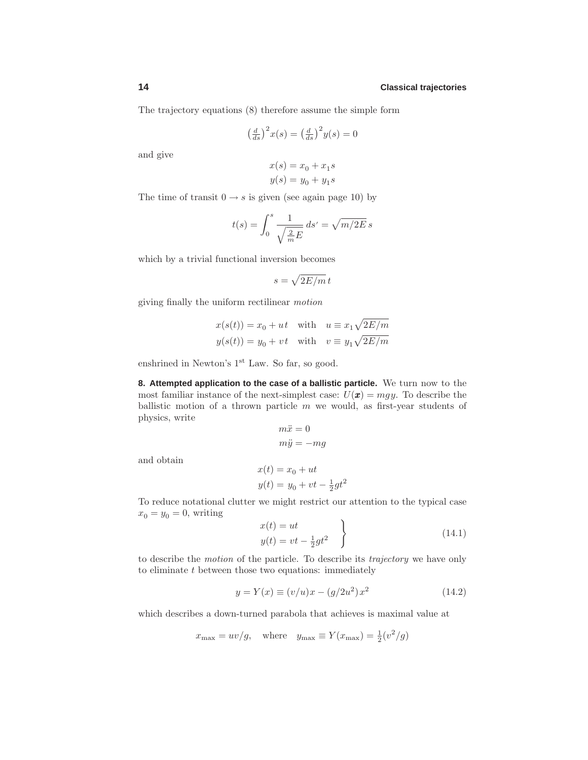The trajectory equations (8) therefore assume the simple form

$$
\left(\frac{d}{ds}\right)^2 x(s) = \left(\frac{d}{ds}\right)^2 y(s) = 0
$$

and give

and obtain

$$
x(s) = x_0 + x_1s
$$

$$
y(s) = y_0 + y_1s
$$

The time of transit  $0 \rightarrow s$  is given (see again page 10) by

$$
t(s) = \int_0^s \frac{1}{\sqrt{\frac{2}{m}E}} ds' = \sqrt{m/2E} s
$$

which by a trivial functional inversion becomes

$$
s = \sqrt{2E/m} t
$$

giving finally the uniform rectilinear motion

$$
x(s(t)) = x_0 + ut \quad \text{with} \quad u \equiv x_1 \sqrt{2E/m}
$$
  

$$
y(s(t)) = y_0 + vt \quad \text{with} \quad v \equiv y_1 \sqrt{2E/m}
$$

enshrined in Newton's 1<sup>st</sup> Law. So far, so good.

**8. Attempted application to the case of a ballistic particle.** We turn now to the most familiar instance of the next-simplest case:  $U(\mathbf{x}) = mgy$ . To describe the ballistic motion of a thrown particle  $m$  we would, as first-year students of physics, write

$$
m\ddot{x} = 0
$$
  
\n
$$
m\ddot{y} = -mg
$$
  
\n
$$
x(t) = x_0 + ut
$$
  
\n
$$
y(t) = y_0 + vt - \frac{1}{2}gt^2
$$

To reduce notational clutter we might restrict our attention to the typical case  $x_0 = y_0 = 0$ , writing

$$
x(t) = ut
$$
  
\n
$$
y(t) = vt - \frac{1}{2}gt^2
$$
\n(14.1)

to describe the motion of the particle. To describe its trajectory we have only to eliminate  $t$  between those two equations: immediately

$$
y = Y(x) \equiv (v/u)x - (g/2u^2)x^2 \tag{14.2}
$$

which describes a down-turned parabola that achieves is maximal value at

$$
x_{\text{max}} = uv/g
$$
, where  $y_{\text{max}} \equiv Y(x_{\text{max}}) = \frac{1}{2}(v^2/g)$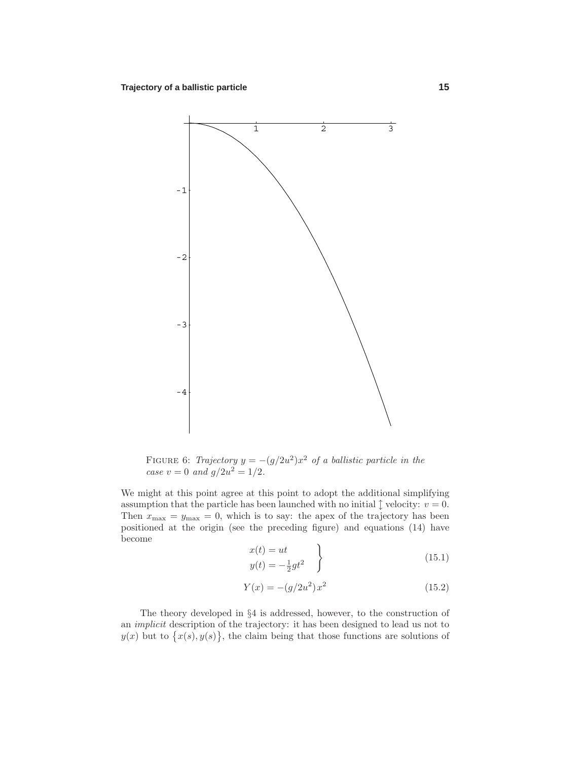

FIGURE 6: Trajectory  $y = -(g/2u^2)x^2$  of a ballistic particle in the case  $v = 0$  and  $g/2u^2 = 1/2$ .

We might at this point agree at this point to adopt the additional simplifying assumption that the particle has been launched with no initial  $\hat{\mathcal{I}}$  velocity:  $v = 0$ . Then  $x_{\text{max}} = y_{\text{max}} = 0$ , which is to say: the apex of the trajectory has been positioned at the origin (see the preceding figure) and equations (14) have become

$$
x(t) = ut
$$
  

$$
y(t) = -\frac{1}{2}gt^2
$$
 (15.1)

$$
Y(x) = -(g/2u^2)x^2
$$
\n(15.2)

The theory developed in §4 is addressed, however, to the construction of an implicit description of the trajectory: it has been designed to lead us not to  $y(x)$  but to  $\{x(s), y(s)\}\,$ , the claim being that those functions are solutions of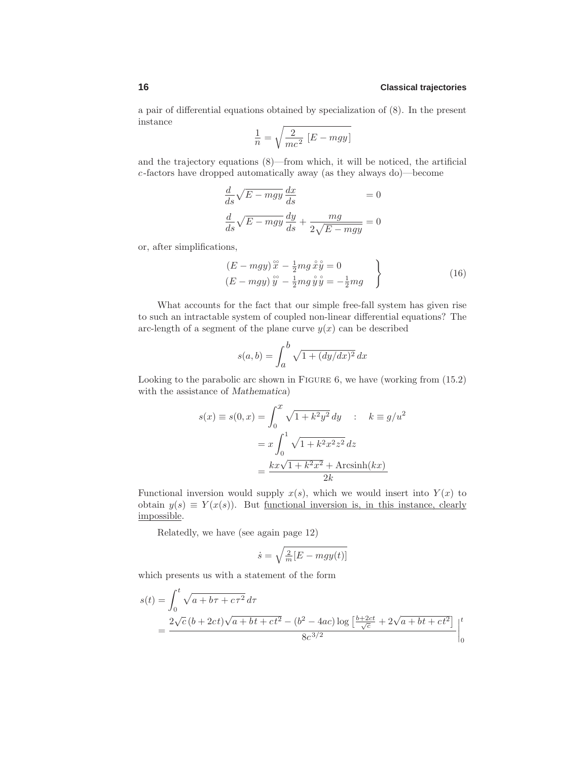a pair of differential equations obtained by specialization of (8). In the present instance

$$
\frac{1}{n} = \sqrt{\frac{2}{mc^2} [E - mgy]}
$$

and the trajectory equations (8)—from which, it will be noticed, the artificial c-factors have dropped automatically away (as they always do)—become

$$
\frac{d}{ds}\sqrt{E - mgy}\frac{dx}{ds} = 0
$$

$$
\frac{d}{ds}\sqrt{E - mgy}\frac{dy}{ds} + \frac{mg}{2\sqrt{E - mgy}} = 0
$$

or, after simplifications,

$$
(E - mgy) \stackrel{\circ}{x} - \frac{1}{2}mg \stackrel{\circ}{x} \stackrel{\circ}{y} = 0
$$
  
\n
$$
(E - mgy) \stackrel{\circ}{y} - \frac{1}{2}mg \stackrel{\circ}{y} \stackrel{\circ}{y} = -\frac{1}{2}mg
$$
\n(16)

What accounts for the fact that our simple free-fall system has given rise to such an intractable system of coupled non-linear differential equations? The arc-length of a segment of the plane curve  $y(x)$  can be described

$$
s(a,b) = \int_{a}^{b} \sqrt{1 + (dy/dx)^2} \, dx
$$

Looking to the parabolic arc shown in FIGURE 6, we have (working from  $(15.2)$ ) with the assistance of *Mathematica*)

$$
s(x) \equiv s(0, x) = \int_0^x \sqrt{1 + k^2 y^2} dy \qquad : \quad k \equiv g/u^2
$$

$$
= x \int_0^1 \sqrt{1 + k^2 x^2 z^2} dz
$$

$$
= \frac{kx\sqrt{1 + k^2 x^2} + \text{Arcsinh}(kx)}{2k}
$$

Functional inversion would supply  $x(s)$ , which we would insert into  $Y(x)$  to obtain  $y(s) \equiv Y(x(s))$ . But <u>functional inversion</u> is, in this instance, clearly impossible.

Relatedly, we have (see again page 12)

$$
\dot{s} = \sqrt{\frac{2}{m}[E - mgy(t)]}
$$

which presents us with a statement of the form

$$
s(t) = \int_0^t \sqrt{a + b\tau + c\tau^2} d\tau
$$
  
= 
$$
\frac{2\sqrt{c}(b + 2ct)\sqrt{a + b\tau + ct^2} - (b^2 - 4ac)\log\left[\frac{b + 2ct}{\sqrt{c}}\right] + 2\sqrt{a + b\tau + ct^2}\Big]_0^t}{8c^{3/2}}
$$